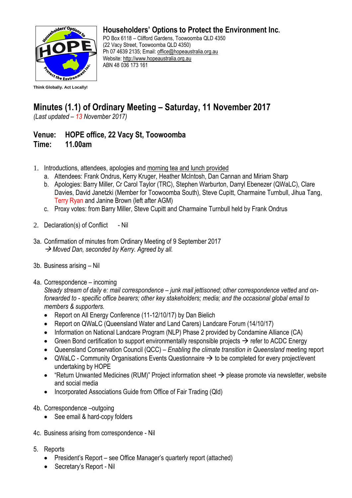

**Householders' Options to Protect the Environment Inc.**

PO Box 6118 – Clifford Gardens, Toowoomba QLD 4350 (22 Vacy Street, Toowoomba QLD 4350) Ph 07 4639 2135; Email: [office@hopeaustralia.org.au](mailto:office@hopeaustralia.org.au)  Website: [http://www.hopeaustralia.org.au](http://www.hopeaustralia.org.au/) ABN 48 036 173 161

## **Minutes (1.1) of Ordinary Meeting – Saturday, 11 November 2017**

*(Last updated – 13 November 2017)*

## **Venue: HOPE office, 22 Vacy St, Toowoomba Time: 11.00am**

- 1. Introductions, attendees, apologies and morning tea and lunch provided
	- a. Attendees: Frank Ondrus, Kerry Kruger, Heather McIntosh, Dan Cannan and Miriam Sharp
	- b. Apologies: Barry Miller, Cr Carol Taylor (TRC), Stephen Warburton, Darryl Ebenezer (QWaLC), Clare Davies, David Janetzki (Member for Toowoomba South), Steve Cupitt, Charmaine Turnbull, Jihua Tang, Terry Ryan and Janine Brown (left after AGM)
	- c. Proxy votes: from Barry Miller, Steve Cupitt and Charmaine Turnbull held by Frank Ondrus
- 2. Declaration(s) of Conflict Nil
- 3a. Confirmation of minutes from Ordinary Meeting of 9 September 2017 → Moved Dan, seconded by Kerry. Agreed by all.
- 3b. Business arising Nil
- 4a. Correspondence incoming

*Steady stream of daily e: mail correspondence – junk mail jettisoned; other correspondence vetted and onforwarded to - specific office bearers; other key stakeholders; media; and the occasional global email to members & supporters.* 

- Report on All Energy Conference (11-12/10/17) by Dan Bielich
- Report on QWaLC (Queensland Water and Land Carers) Landcare Forum (14/10/17)
- Information on National Landcare Program (NLP) Phase 2 provided by Condamine Alliance (CA)
- Green Bond certification to support environmentally responsible projects  $\rightarrow$  refer to ACDC Energy
- Queensland Conservation Council (QCC) *Enabling the climate transition in Queensland* meeting report
- QWaLC Community Organisations Events Questionnaire  $\rightarrow$  to be completed for every project/event undertaking by HOPE
- "Return Unwanted Medicines (RUM)" Project information sheet  $\rightarrow$  please promote via newsletter, website and social media
- Incorporated Associations Guide from Office of Fair Trading (Qld)
- 4b. Correspondence –outgoing
	- See email & hard-copy folders
- 4c. Business arising from correspondence Nil
- 5. Reports
	- President's Report see Office Manager's quarterly report (attached)
	- Secretary's Report Nil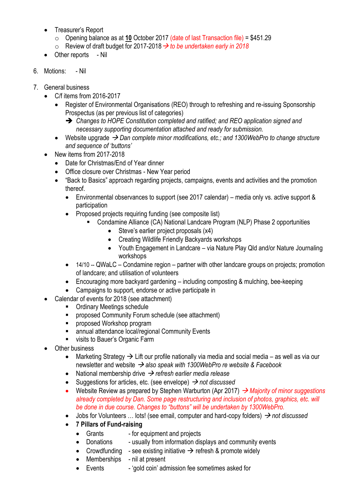- Treasurer's Report
	- o Opening balance as at **10** October 2017 (date of last Transaction file) = \$451.29
	- $\circ$  Review of draft budget for 2017-2018  $\rightarrow$  to be undertaken early in 2018
- Other reports Nil
- 6. Motions: Nil
- 7. General business
	- C/f items from 2016-2017
		- Register of Environmental Organisations (REO) through to refreshing and re-issuing Sponsorship Prospectus (as per previous list of categories)
			- *Changes to HOPE Constitution completed and ratified; and REO application signed and necessary supporting documentation attached and ready for submission.*
		- Website upgrade *Dan complete minor modifications, etc.; and 1300WebPro to change structure and sequence of 'buttons'*
	- New items from 2017-2018
		- Date for Christmas/End of Year dinner
		- Office closure over Christmas New Year period
		- "Back to Basics" approach regarding projects, campaigns, events and activities and the promotion thereof.
			- Environmental observances to support (see 2017 calendar) media only vs. active support & participation
			- Proposed projects requiring funding (see composite list)
				- Condamine Alliance (CA) National Landcare Program (NLP) Phase 2 opportunities
					- Steve's earlier project proposals (x4)
					- Creating Wildlife Friendly Backyards workshops
					- Youth Engagement in Landcare via Nature Play Qld and/or Nature Journaling workshops
			- 14/10 -- QWaLC Condamine region partner with other landcare groups on projects; promotion of landcare; and utilisation of volunteers
			- Encouraging more backyard gardening including composting & mulching, bee-keeping
			- Campaigns to support, endorse or active participate in
		- Calendar of events for 2018 (see attachment)
			- Ordinary Meetings schedule
			- proposed Community Forum schedule (see attachment)
			- proposed Workshop program
			- annual attendance local/regional Community Events
			- visits to Bauer's Organic Farm
	- **Other business** 
		- Marketing Strategy  $\rightarrow$  Lift our profile nationally via media and social media as well as via our newsletter and website  $\rightarrow$  also speak with 1300WebPro re website & Facebook
		- National membership drive  $\rightarrow$  refresh earlier media release
		- Suggestions for articles, etc. (see envelope)  $\rightarrow$  *not discussed*
		- Website Review as prepared by Stephen Warburton (Apr 2017) *Majority of minor suggestions already completed by Dan. Some page restructuring and inclusion of photos, graphics, etc. will be done in due course. Changes to "buttons" will be undertaken by 1300WebPro.*
		- Jobs for Volunteers ... lots! (see email, computer and hard-copy folders)  $\rightarrow$  not discussed
		- **7 Pillars of Fund-raising**
			- Grants for equipment and projects
			- Donations usually from information displays and community events
			- Crowdfunding see existing initiative  $\rightarrow$  refresh & promote widely
			- Memberships nil at present
			- Events 'gold coin' admission fee sometimes asked for